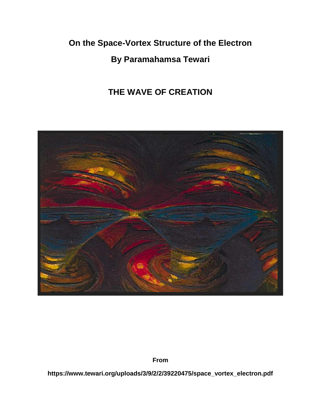# **On the Space-Vortex Structure of the Electron By Paramahamsa Tewari**

# **THE WAVE OF CREATION**



**From**

**https://www.tewari.org/uploads/3/9/2/2/39220475/space\_vortex\_electron.pdf**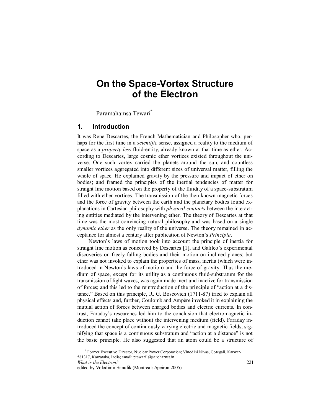# **On the Space-Vortex Structure of the Electron**

Paramahamsa Tewari**\***

#### **1. Introduction**

It was Rene Descartes, the French Mathematician and Philosopher who, perhaps for the first time in a *scientific* sense, assigned a reality to the medium of space as a *property-less* fluid-entity, already known at that time as ether. According to Descartes, large cosmic ether vortices existed throughout the universe. One such vortex carried the planets around the sun, and countless smaller vortices aggregated into different sizes of universal matter, filling the whole of space. He explained gravity by the pressure and impact of ether on bodies; and framed the principles of the inertial tendencies of matter for straight line motion based on the property of the fluidity of a space-substratum filled with ether vortices. The transmission of the then known magnetic forces and the force of gravity between the earth and the planetary bodies found explanations in Cartesian philosophy with *physical contacts* between the interacting entities mediated by the intervening ether. The theory of Descartes at that time was the most convincing natural philosophy and was based on a single *dynamic ether* as the only reality of the universe. The theory remained in acceptance for almost a century after publication of Newton's *Principia*.

Newton's laws of motion took into account the principle of inertia for straight line motion as conceived by Descartes [1], and Galileo's experimental discoveries on freely falling bodies and their motion on inclined planes; but ether was not invoked to explain the properties of mass, inertia (which were introduced in Newton's laws of motion) and the force of gravity. Thus the medium of space, except for its utility as a continuous fluid-substratum for the transmission of light waves, was again made inert and inactive for transmission of forces; and this led to the reintroduction of the principle of "action at a distance." Based on this principle, R. G. Boscovich (1711-87) tried to explain all physical effects and, further, Coulomb and Ampère invoked it in explaining the mutual action of forces between charged bodies and electric currents. In contrast, Faraday's researches led him to the conclusion that electromagnetic induction cannot take place without the intervening medium (field). Faraday introduced the concept of continuously varying electric and magnetic fields, signifying that space is a continuous substratum and "action at a distance" is not the basic principle. He also suggested that an atom could be a structure of

í

<sup>\*</sup> Former Executive Director, Nuclear Power Corporation; Vinodini Nivas, Gotegali, Karwar-581317, Karnataka, India; email: ptewari1@sancharnet.in

*What is the Electron?* 221

edited by Volodimir Simulik (Montreal: Apeiron 2005)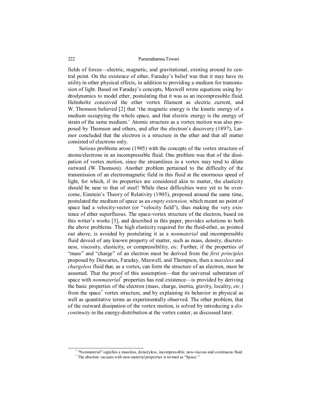fields of forces—electric, magnetic, and gravitational, existing around its central point. On the existence of ether, Faraday's belief was that it may have its utility in other physical effects, in addition to providing a medium for transmission of light. Based on Faraday's concepts, Maxwell wrote equations using hydrodynamics to model ether, postulating that it was as an incompressible fluid. Helmholtz conceived the ether vortex filament as electric current, and W. Thomson believed [2] that 'the magnetic energy is the kinetic energy of a medium occupying the whole space, and that electric energy is the energy of strain of the same medium.' Atomic structure as a vortex motion was also proposed by Thomson and others, and after the electron's discovery (1897), Larmor concluded that the electron is a structure in the ether and that all matter consisted of electrons only.

Serious problems arose (1905) with the concepts of the vortex structure of atoms/electrons in an incompressible fluid. One problem was that of the dissipation of vortex motion, since the streamlines in a vortex may tend to dilate outward (W. Thomson). Another problem pertained to the difficulty of the transmission of an electromagnetic field in this fluid at the enormous speed of light, for which, if its properties are considered akin to matter, the elasticity should be near to that of steel! While these difficulties were yet to be overcome, Einstein's Theory of Relativity (1905), proposed around the same time, postulated the medium of space as an *empty extension,* which meant no point of space had a velocity-vector (or "velocity field"), thus making the very existence of ether superfluous. The space-vortex structure of the electron, based on this writer's works [3], and described in this paper, provides solutions to both the above problems. The high elasticity required for the fluid-ether, as pointed out above, is avoided by postulating it as a *nonmaterial* and incompressible fluid devoid of any known property of matter, such as mass, density, discreteness, viscosity, elasticity, or compressibility, *etc.* Further, if the properties of "mass" and "charge" of an electron must be derived from the *first principles* proposed by Descartes, Faraday, Maxwell, and Thompson, then a *massless* and *chargeless* fluid that, as a vortex, can form the structure of an electron, must be assumed. That the proof of this assumption—that the universal substratum of space with *nonmaterial*<sup>\*</sup> properties has real existence—is provided by deriving the basic properties of the electron (mass, charge, inertia, gravity, locality, *etc.*) from the space<sup>†</sup> vortex structure, and by explaining its behavior in physical as well as quantitative terms as experimentally observed. The other problem, that of the outward dissipation of the vortex motion, is solved by introducing a *discontinuity* in the energy-distribution at the vortex center, as discussed later.

í

<sup>\*</sup> "Nonmaterial" signifies a massless, densityless, incompressible, non-viscous and continuous fluid.

<sup>†</sup> The absolute vacuum with non-material properties is termed as "Space."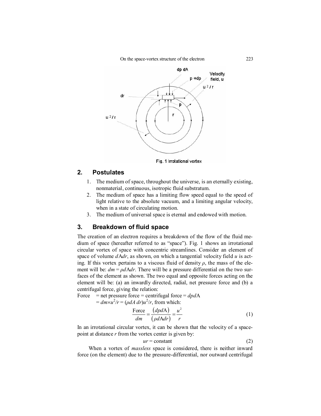On the space-vortex structure of the electron 223



Fig. 1 Irrotational vortex

# **2. Postulates**

- 1. The medium of space, throughout the universe, is an eternally existing, nonmaterial, continuous, isotropic fluid substratum.
- 2. The medium of space has a limiting flow speed equal to the speed of light relative to the absolute vacuum, and a limiting angular velocity, when in a state of circulating motion.
- 3. The medium of universal space is eternal and endowed with motion.

# **3. Breakdown of fluid space**

The creation of an electron requires a breakdown of the flow of the fluid medium of space (hereafter referred to as "space"). Fig. 1 shows an irrotational circular vortex of space with concentric streamlines. Consider an element of space of volume *d*A*dr*, as shown, on which a tangential velocity field *u* is acting. If this vortex pertains to a viscous fluid of density  $\rho$ , the mass of the element will be:  $dm = \rho dA dr$ . There will be a pressure differential on the two surfaces of the element as shown. The two equal and opposite forces acting on the element will be: (a) an inwardly directed, radial, net pressure force and (b) a centrifugal force, giving the relation:

Force = net pressure force = centrifugal force = 
$$
dpdA
$$

 $= dm \times u^2/r = (\rho dA dr)u^2/r$ , from which:

$$
\frac{\text{Force}}{dm} = \frac{(dpdA)}{(pdAdr)} = \frac{u^2}{r}
$$
 (1)

In an irrotational circular vortex, it can be shown that the velocity of a spacepoint at distance *r* from the vortex center is given by:

$$
ur = \text{constant} \tag{2}
$$

When a vortex of *massless* space is considered, there is neither inward force (on the element) due to the pressure-differential, nor outward centrifugal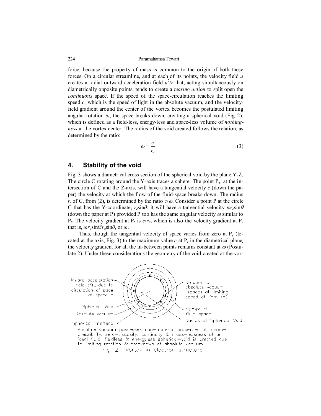force, because the property of mass is common to the origin of both these forces. On a circular streamline, and at each of its points, the velocity field *u*  creates a radial outward acceleration field  $u^2/r$  that, acting simultaneously on diametrically opposite points, tends to create a *tearing action* to split open the *continuous* space. If the speed of the space-circulation reaches the limiting speed  $c$ , which is the speed of light in the absolute vacuum, and the velocityfield gradient around the center of the vortex becomes the postulated limiting angular rotation  $\omega$ , the space breaks down, creating a spherical void (Fig. 2), which is defined as a field-less, energy-less and space-less volume of *nothingness* at the vortex center. The radius of the void created follows the relation, as determined by the ratio:

$$
\omega = \frac{c}{r_e} \tag{3}
$$

#### **4. Stability of the void**

Fig. 3 shows a diametrical cross section of the spherical void by the plane Y-Z. The circle C rotating around the Y-axis traces a sphere. The point  $P_z$ , at the intersection of C and the Z-axis, will have a tangential velocity *c* (down the paper) the velocity at which the flow of the fluid-space breaks down. The radius *re* of C, from (2), is determined by the ratio *c*/ω. Consider a point P at the circle C that has the Y-coordinate,  $r_e \textrm{sin}\theta$ : it will have a tangential velocity  $\omega r_e \textrm{sin}\theta$ (down the paper at P) provided P too has the same angular velocity  $\omega$  similar to  $P_z$ . The velocity gradient at  $P_z$  is  $c/r_e$ , which is also the velocity gradient at P, that is,  $\omega r_e \sin\theta/r_e \sin\theta$ , or  $\omega$ .

Thus, though the tangential velocity of space varies from zero at  $P_y$  (located at the axis, Fig. 3) to the maximum value  $c$  at  $P_z$  in the diametrical plane the velocity gradient for all the in-between points remains constant at  $\omega$  (Postulate 2). Under these considerations the geometry of the void created at the vor-

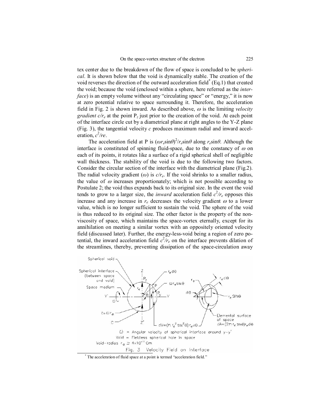tex center due to the breakdown of the flow of space is concluded to be *spherical*. It is shown below that the void is dynamically stable. The creation of the void reverses the direction of the outward acceleration field\* (Eq.1) that created the void; because the void (enclosed within a sphere, here referred as the *interface*) is an empty volume without any "circulating space" or "energy," it is now at zero potential relative to space surrounding it. Therefore, the acceleration field in Fig. 2 is shown inward. As described above,  $\omega$  is the limiting *velocity gradient*  $c/r_e$  at the point  $P_z$  just prior to the creation of the void. At each point of the interface circle cut by a diametrical plane at right angles to the Y-Z plane (Fig. 3), the tangential velocity *c* produces maximum radial and inward acceleration,  $c^2$ /re.

The acceleration field at P is  $(\omega r_e \sin\theta)^2/r_e \sin\theta$  along  $r_e \sin\theta$ . Although the interface is constituted of spinning fluid-space, due to the constancy of  $\omega$  on each of its points, it rotates like a surface of a rigid spherical shell of negligible wall thickness. The stability of the void is due to the following two factors. Consider the circular section of the interface with the diametrical plane (Fig.2). The radial velocity gradient  $(\omega)$  is  $c/r_e$ . If the void shrinks to a smaller radius, the value of  $\omega$  increases proportionately; which is not possible according to Postulate 2; the void thus expands back to its original size. In the event the void tends to grow to a larger size, the *inward* acceleration field  $c^2/r_e$  opposes this increase and any increase in  $r_e$  decreases the velocity gradient  $\omega$  to a lower value, which is no longer sufficient to sustain the void. The sphere of the void is thus reduced to its original size. The other factor is the property of the nonviscosity of space, which maintains the space-vortex eternally, except for its annihilation on meeting a similar vortex with an oppositely oriented velocity field (discussed later). Further, the energy-less-void being a region of zero potential, the inward acceleration field  $c^2/r_e$  on the interface prevents dilation of the streamlines, thereby, preventing dissipation of the space-circulation away



<sup>\*</sup> The acceleration of fluid space at a point is termed "acceleration field."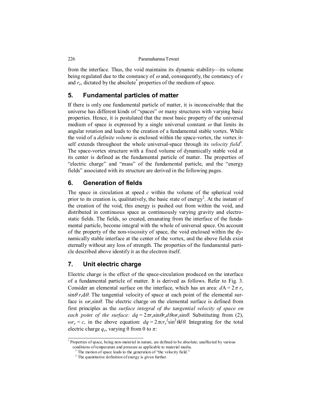from the interface. Thus, the void maintains its dynamic stability—its volume being regulated due to the constancy of  $\omega$  and, consequently, the constancy of  $c$ and  $r_e$ , dictated by the absolute<sup>\*</sup> properties of the medium of space.

# **5. Fundamental particles of matter**

If there is only one fundamental particle of matter, it is inconceivable that the universe has different kinds of "spaces" or many structures with varying basic properties. Hence, it is postulated that the most basic property of the universal medium of space is expressed by a single universal constant  $\omega$  that limits its angular rotation and leads to the creation of a fundamental stable vortex. While the void of a *definite volume* is enclosed within the space-vortex, the vortex itself extends throughout the whole universal-space through its *velocity field*<sup>†</sup>. The space-vortex structure with a fixed volume of dynamically stable void at its center is defined as the fundamental particle of matter. The properties of "electric charge" and "mass" of the fundamental particle, and the "energy fields" associated with its structure are derived in the following pages.

# **6. Generation of fields**

The space in circulation at speed *c* within the volume of the spherical void prior to its creation is, qualitatively, the basic state of energy<sup>‡</sup>. At the instant of the creation of the void, this energy is pushed out from within the void, and distributed in continuous space as continuously varying gravity and electrostatic fields. The fields, so created, emanating from the interface of the fundamental particle, become integral with the whole of universal space. On account of the property of the non-viscosity of space, the void enclosed within the dynamically stable interface at the center of the vortex, and the above fields exist eternally without any loss of strength. The properties of the fundamental particle described above identify it as the electron itself.

# **7. Unit electric charge**

j

Electric charge is the effect of the space-circulation produced on the interface of a fundamental particle of matter. It is derived as follows. Refer to Fig. 3. Consider an elemental surface on the interface, which has an area:  $dA = 2\pi r_e$  $\sin\theta r_e d\theta$ . The tangential velocity of space at each point of the elemental surface is ω*re*sinθ. The electric charge on the elemental surface is defined from first principles as the *surface integral of the tangential velocity of space on each point of the surface:*  $dq = 2\pi r_e \sin \theta r_e d\theta \omega r_e \sin \theta$ *.* Substituting from (2),  $\omega r_e = c$ , in the above equation:  $dq = 2\pi c r_e^2 \sin^2 \theta d\theta$ . Integrating for the total electric charge  $q_e$ , varying θ from 0 to  $\pi$ :

<sup>\*</sup> Properties of space, being non-material in nature, are defined to be absolute; unaffected by various conditions of temperature and pressure as applicable to material media.

<sup>&</sup>lt;sup>†</sup> The motion of space leads to the generation of "the velocity field."

<sup>‡</sup> The quantitative definition of energy is given further.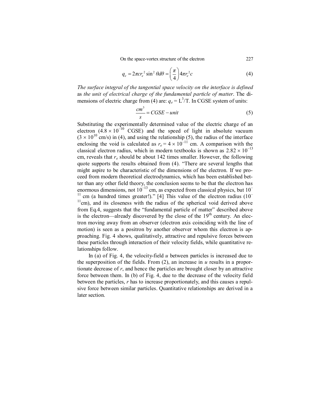$$
q_e = 2\pi c r_e^2 \sin^2 \theta d\theta = \left(\frac{\pi}{4}\right) 4\pi r_e^2 c \tag{4}
$$

*The surface integral of the tangential space velocity on the interface is defined*  as *the unit of electrical charge of the fundamental particle of matter*. The dimensions of electric charge from (4) are:  $q_e = L^3/T$ . In CGSE system of units:

$$
\frac{cm^3}{s} = CGSE - unit \tag{5}
$$

Substituting the experimentally determined value of the electric charge of an electron  $(4.8 \times 10^{-10} \text{ CGSE})$  and the speed of light in absolute vacuum  $(3 \times 10^{10} \text{ cm/s})$  in (4), and using the relationship (5), the radius of the interface enclosing the void is calculated as  $r_e = 4 \times 10^{-11}$  cm. A comparison with the classical electron radius, which in modern textbooks is shown as  $2.82 \times 10^{-13}$ cm, reveals that  $r_e$  should be about 142 times smaller. However, the following quote supports the results obtained from (4). "There are several lengths that might aspire to be characteristic of the dimensions of the electron. If we proceed from modern theoretical electrodynamics, which has been established better than any other field theory, the conclusion seems to be that the electron has enormous dimensions, not  $10^{-13}$  cm, as expected from classical physics, but  $10^{-1}$ <sup>11</sup> cm (a hundred times greater!)." [4] This value of the electron radius  $(10^{-1})$  $11$ cm), and its closeness with the radius of the spherical void derived above from Eq.4, suggests that the "fundamental particle of matter" described above is the electron—already discovered by the close of the  $19<sup>th</sup>$  century. An electron moving away from an observer (electron axis coinciding with the line of motion) is seen as a positron by another observer whom this electron is approaching. Fig. 4 shows, qualitatively, attractive and repulsive forces between these particles through interaction of their velocity fields, while quantitative relationships follow.

In (a) of Fig. 4, the velocity-field *u* between particles is increased due to the superposition of the fields. From (2), an increase in *u* results in a proportionate decrease of *r*, and hence the particles are brought closer by an attractive force between them. In (b) of Fig. 4, due to the decrease of the velocity field between the particles, *r* has to increase proportionately, and this causes a repulsive force between similar particles. Quantitative relationships are derived in a later section.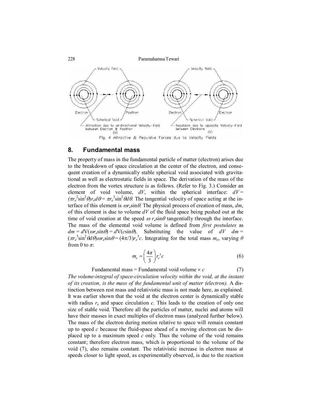

## **8. Fundamental mass**

The property of mass in the fundamental particle of matter (electron) arises due to the breakdown of space circulation at the center of the electron, and consequent creation of a dynamically stable spherical void associated with gravitational as well as electrostatic fields in space. The derivation of the mass of the electron from the vortex structure is as follows. (Refer to Fig. 3.) Consider an element of void volume,  $dV$ , within the spherical interface:  $dV =$  $(\pi r_e^2 \sin^2 \theta) r_e d\theta = \pi r_e^3 \sin^2 \theta d\theta$ . The tangential velocity of space acting at the interface of this element is ω*re*sinθ. The physical process of creation of mass, *dm*, of this element is due to volume *dV* of the fluid space being pushed out at the time of void creation at the speed  $\omega r_e \sin\theta$  tangentially through the interface. The mass of the elemental void volume is defined from *first postulates* as  $dm = dV(\omega r_e \sin \theta) = dV(\sin \theta)$ . Substituting the value of  $dV$   $dm =$  $(\pi r_e^3 \sin^2 \theta d\theta) \omega r_e \sin \theta = (4\pi/3)r_e^3 c$ . Integrating for the total mass  $m_e$ , varying  $\theta$ from 0 to  $\pi$ :

$$
m_e = \left(\frac{4\pi}{3}\right) r_e^3 c \tag{6}
$$

Fundamental mass = Fundamental void volume  $\times c$  (7)

*The volume-integral of space-circulation velocity within the void, at the instant of its creation, is the mass of the fundamental unit of matter (electron).* A distinction between rest mass and relativistic mass is not made here, as explained. It was earlier shown that the void at the electron center is dynamically stable with radius  $r_e$  and space circulation  $c$ . This leads to the creation of only one size of stable void. Therefore all the particles of matter, nuclei and atoms will have their masses in exact multiples of electron mass (analyzed further below). The mass of the electron during motion relative to space will remain constant up to speed *c* because the fluid-space ahead of a moving electron can be displaced up to a maximum speed *c* only. Thus the volume of the void remains constant; therefore electron mass, which is proportional to the volume of the void (7), also remains constant. The relativistic increase in electron mass at speeds closer to light speed, as experimentally observed, is due to the reaction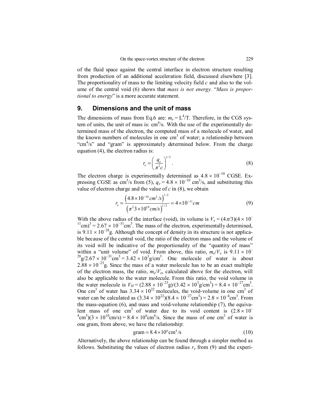of the fluid space against the central interface in electron structure resulting from production of an additional acceleration field, discussed elsewhere [3]. The proportionality of mass to the limiting velocity field *c* and also to the volume of the central void (6) shows that *mass is not energy.* "*Mass is proportional to energy*" is a more accurate statement.

## **9. Dimensions and the unit of mass**

The dimensions of mass from Eq.6 are:  $m_e = L^4/T$ . Therefore, in the CGS system of units, the unit of mass is:  $cm<sup>4</sup>/s$ . With the use of the experimentally determined mass of the electron, the computed mass of a molecule of water, and the known numbers of molecules in one  $cm<sup>3</sup>$  of water; a relationship between "cm<sup>4</sup>/s" and "gram" is approximately determined below. From the charge equation  $(4)$ , the electron radius is:

$$
r_e = \left(\frac{q_e}{\pi^2 c}\right)^{1/2}.\tag{8}
$$

The electron charge is experimentally determined as  $4.8 \times 10^{-10}$  CGSE. Expressing CGSE as cm<sup>3</sup>/s from (5),  $q_e = 4.8 \times 10^{-10}$  cm<sup>3</sup>/s, and substituting this value of electron charge and the value of *c* in (8), we obtain

$$
r_e = \frac{\left(4.8 \times 10^{-10} \, \text{cm}^3/\text{s}\right)^{1/2}}{\left(\pi^2 \, 3 \times 10^{10} \, \text{cm/s}\right)^{1/2}} = 4 \times 10^{-11} \, \text{cm} \tag{9}
$$

With the above radius of the interface (void), its volume is  $V_e = (4\pi/3)(4 \times 10^{-7})$  $^{11}$ cm)<sup>3</sup> = 2.67 × 10<sup>-31</sup>cm<sup>3</sup>. The mass of the electron, experimentally determined, is  $9.11 \times 10^{-28}$ g. Although the concept of density in its structure is not applicable because of the central void, the ratio of the electron mass and the volume of its void will be indicative of the proportionality of the "quantity of mass" within a "unit volume" of void. From above, this ratio,  $m_e/V_e$  is  $9.11 \times 10^{-7}$  $^{28}$ g/2.67 × 10<sup>-31</sup>cm<sup>3</sup> = 3.42 × 10<sup>3</sup>g/cm<sup>3</sup>. One molecule of water is about  $2.88 \times 10^{-23}$ g. Since the mass of a water molecule has to be an exact multiple of the electron mass, the ratio,  $m_e/V_e$ , calculated above for the electron, will also be applicable to the water molecule. From this ratio, the void volume in the water molecule is  $V_H = (2.88 \times 10^{-23} \text{g})/(3.42 \times 10^3 \text{g/cm}^3) = 8.4 \times 10^{-27} \text{cm}^3$ . One cm<sup>3</sup> of water has  $3.34 \times 10^{22}$  molecules, the void-volume in one cm<sup>3</sup> of water can be calculated as  $(3.34 \times 10^{22})(8.4 \times 10^{-27} \text{cm}^3) = 2.8 \times 10^{-4} \text{cm}^3$ . From the mass-equation (6), and mass and void-volume relationship (7), the equivalent mass of one cm<sup>3</sup> of water due to its void content is  $(2.8 \times 10^{-7})$  $^{4}$ cm<sup>3</sup>)(3 × 10<sup>10</sup>cm/s) = 8.4 × 10<sup>6</sup>cm<sup>4</sup>/s. Since the mass of one cm<sup>3</sup> of water is one gram, from above, we have the relationship:

$$
gram = 8.4 \times 10^6 \text{cm}^4/\text{s}
$$
 (10)

Alternatively, the above relationship can be found through a simpler method as follows. Substituting the values of electron radius  $r_e$  from (9) and the experi-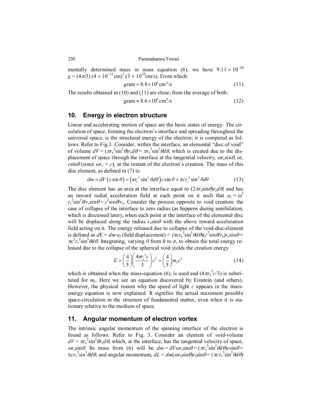mentally determined mass in mass equation (6), we have  $9.11 \times 10^{-28}$  $g = (4\pi/3) (4 \times 10^{-11} \text{ cm})^3 (3 \times 10^{10} \text{ cm/s})$ . From which:

$$
\text{gram} = 8.8 \times 10^6 \,\text{cm}^4/\text{s} \tag{11}
$$

The results obtained in (10) and (11) are close; from the average of both:

$$
gram \approx 8.6 \times 10^6 \text{cm}^4/\text{s}
$$
 (12)

#### **10. Energy in electron structure**

Linear and accelerating motion of space are the basic states of energy. The circulation of space, forming the electron's interface and spreading throughout the universal space, is the structural energy of the electron; it is computed as follows. Refer to Fig.3. Consider, within the interface, an elemental "disc of void" of volume  $dV = (\pi r_e^2 \sin^2 \theta) r_e d\theta = \pi r_e^3 \sin^2 \theta d\theta$ , which is created due to the displacement of space through the interface at the tangential velocity, ω*re*sinθ, or,  $c\sin\theta$  (since  $\omega r_e = c$ ), at the instant of the electron's creation. The mass of this disc element, as defined in (7) is:

$$
dm = dV(c\sin\theta) = (\pi r_e^3 \sin^2\theta d\theta)c\sin\theta = \pi c r_e^3 \sin^3\theta d\theta
$$
 (13)

The disc element has an area at the interface equal to  $(2\pi r_e \sin\theta)r_e d\theta$ ; and has an inward radial acceleration field at each point on it such that  $a_f = \omega^2$  $r_e^2 \sin^2 \theta / r_e \sin \theta = c^2 \sin \theta / r_e$ . Consider the process opposite to void creation: the case of collapse of the interface to zero radius (as happens during annihilation, which is discussed later), when each point at the interface of the elemental disc will be displaced along the radius  $r_e \sin \theta$  with the above inward acceleration field acting on it. The energy released due to collapse of the void-disc-element is defined as  $dE = dm \cdot a_f$  (field displacement) =  $(\pi c r_e^3 \sin^3 \theta d\theta)(c^2 \sin \theta / r_e) r_e \sin \theta =$  $\pi c^3 r_e^3 \sin^5 \theta d\theta$ . Integrating, varying  $\theta$  from 0 to  $\pi$ , to obtain the total energy released due to the collapse of the spherical void yields the creation energy

$$
E = \left(\frac{4}{5}\right) \left(\frac{4\pi r_e^{3}c}{3}\right) c^2 = \left(\frac{4}{5}\right) m_e c^2 \tag{14}
$$

which is obtained when the mass-equation (6), is used and  $(4\pi r_e^3 c/3)$  is substituted for  $m_e$ . Here we see an equation discovered by Einstein (and others). However, the physical reason why the speed of light *c* appears in the massenergy equation is now explained. It signifies the actual maximum possible space-circulation in the structure of fundamental matter, even when it is stationary relative to the medium of space.

#### **11. Angular momentum of electron vortex**

The intrinsic angular momentum of the spinning interface of the electron is found as follows. Refer to Fig. 3. Consider an element of void-volume  $dV = \pi r_e^2 \sin^2 \theta r_e d\theta$ , which, at the interface, has the tangential velocity of space,  $\omega r_e \sin\theta$ . Its mass from (6) will be  $dm = dV \omega r_e \sin\theta = (\pi r_e^3 \sin^2 \theta d\theta) \cosh \theta =$  $\pi cr_e^3 \sin^3 \theta d\theta$ ; and angular momentum,  $dL = dm(\omega r_e \sin \theta) r_e \sin \theta = (\pi cr_e^3 \sin^3 \theta d\theta)$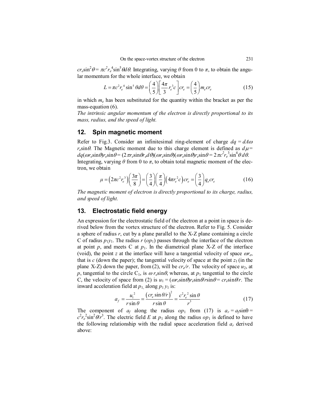$cr_e \sin^2 \theta = \pi c^2 r_e^4 \sin^5 \theta d\theta$ . Integrating, varying  $\theta$  from 0 to  $\pi$ , to obtain the angular momentum for the whole interface, we obtain

$$
L = \pi c^2 r_e^4 \sin^5 \theta d\theta = \left(\frac{4}{5}\right) \left[\frac{4\pi}{3} r_e^3 c\right] cr_e = \left(\frac{4}{5}\right) m_e cr_e
$$
 (15)

in which *me* has been substituted for the quantity within the bracket as per the mass-equation (6).

*The intrinsic angular momentum of the electron is directly proportional to its mass, radius, and the speed of light.*

#### **12. Spin magnetic moment**

Refer to Fig.3. Consider an infinitesimal ring-element of charge *dq = dA*<sup>ω</sup>  $r_e$ sin $\theta$ . The Magnetic moment due to this charge element is defined as  $d\mu$ =  $dq(\omega r_e \sin \theta) r_e \sin \theta = (2\pi r_e \sin \theta r_e d\theta)(\omega r_e \sin \theta) (\omega r_e \sin \theta) r_e \sin \theta = 2\pi c^2 r_e^3 \sin^4 \theta d\theta.$ Integrating, varying  $\theta$  from 0 to  $\pi$ , to obtain total magnetic moment of the electron, we obtain

$$
\mu = \left(2\pi c^2 r_e^3\right) \left(\frac{3\pi}{8}\right) = \left(\frac{3}{4}\right) \left(\frac{\pi}{4}\right) \left(4\pi r_e^2 c\right) c r_e = \left(\frac{3}{4}\right) q_e c r_e \tag{16}
$$

*The magnetic moment of electron is directly proportional to its charge, radius, and speed of light.*

#### **13. Electrostatic field energy**

An expression for the electrostatic field of the electron at a point in space is derived below from the vortex structure of the electron. Refer to Fig. 5. Consider a sphere of radius *r*, cut by a plane parallel to the X-Z plane containing a circle C of radius  $p_1y_1$ . The radius r  $(op_1)$  passes through the interface of the electron at point  $p$ , and meets C at  $p_1$ . In the diametrical plane X-Z of the interface (void), the point *z* at the interface will have a tangential velocity of space ω*re*, that is  $c$  (down the paper); the tangential velocity of space at the point  $z_1$  (in the plane X-Z) down the paper, from (2), will be  $cr_{e}/r$ . The velocity of space  $u_2$ , at *p*, tangential to the circle C<sub>1</sub>, is  $\omega r_e \sin \theta$ , whereas, at  $p_1$  tangential to the circle C, the velocity of space from (2) is  $u_1 = (\omega r_e \sin \theta) r_e \sin \theta / r \sin \theta = cr_e \sin \theta / r$ . The inward acceleration field at  $p_1$  along  $p_1$   $y_1$  is:

$$
a_f = \frac{u_1^2}{r \sin \theta} = \frac{(cr_e \sin \theta/r)^2}{r \sin \theta} = \frac{c^2 r_e^2 \sin \theta}{r^3}
$$
(17)

The component of  $a_f$  along the radius  $op_1$  from (17) is  $a_r = a_f \sin\theta =$  $c^2 r_e^2 \sin^2 \theta r^3$ . The electric field *E* at  $p_1$  along the radius  $op_1$  is defined to have the following relationship with the radial space acceleration field  $a_r$  derived above: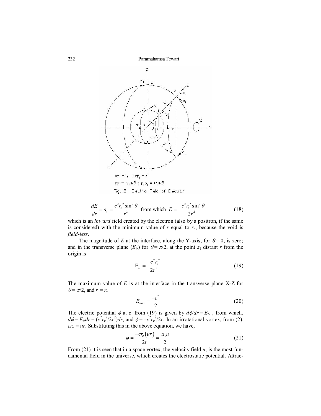

$$
\frac{dE}{dr} = a_r = \frac{c^2 r_e^2 \sin^2 \theta}{r^3}
$$
 from which  $E = \frac{-c^2 r_e^2 \sin^2 \theta}{2r^2}$  (18)

which is an *inward* field created by the electron (also by a positron, if the same is considered) with the minimum value of  $r$  equal to  $r_e$ , because the void is *field-less*.

The magnitude of *E* at the interface, along the Y-axis, for  $\theta = 0$ , is zero; and in the transverse plane  $(E_{tr})$  for  $\theta = \pi/2$ , at the point  $z_1$  distant *r* from the origin is

$$
E_{tr} = \frac{-c^2 r_e^2}{2r^2}
$$
 (19)

The maximum value of *E* is at the interface in the transverse plane X-Z for  $\theta = \pi/2$ , and  $r = r_e$ 

$$
E_{\text{max}} = \frac{-c^2}{2} \tag{20}
$$

The electric potential  $\phi$  at *z*<sub>1</sub> from (19) is given by  $d\phi/dr = E_{tr}$ , from which,  $d\phi = E_t dr = (c^2 r_e^2/2r^2) dr$ , and  $\phi = -c^2 r_e^2/2r$ . In an irrotational vortex, from (2),  $cr_e = ur$ . Substituting this in the above equation, we have,

$$
\varphi = \frac{-cr_e(ur)}{2r} = \frac{cr_e u}{2}
$$
\n(21)

From (21) it is seen that in a space vortex, the velocity field  $u$ , is the most fundamental field in the universe, which creates the electrostatic potential. Attrac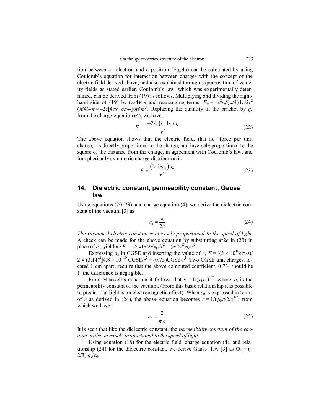tion between an electron and a positron (Fig.4a) can be calculated by using Coulomb's equation for interaction between charges with the concept of the electric field derived above, and also explained through superposition of velocity fields as stated earlier. Coulomb's law, which was experimentally determined, can be derived from (19) as follows. Multiplying and dividing the righthand side of (19) by  $(\pi/4)4\pi$  and rearranging terms:  $E_{tr} = -c^2 r_e^2(\pi/4)4\pi/2r^2$  $(\pi/4)A\pi = -2c[4\pi r_e^2 c\pi/4]/\pi/4\pi r^2$ . Replacing the quantity in the bracket by  $q_e$ from the charge-equation (4), we have,

$$
E_{tr} = \frac{-2/\pi (c/4\pi) q_e}{r^2}
$$
 (22)

The above equation shows that the electric field, that is, "force per unit charge," is directly proportional to the charge, and inversely proportional to the square of the distance from the charge, in agreement with Coulomb's law, and for spherically symmetric charge distribution is

$$
E = \frac{\left(1/4\pi\varepsilon_0\right)q_e}{r^2} \tag{23}
$$

# **14. Dielectric constant, permeability constant, Gauss' law**

Using equations (20, 23), and charge equation (4), we derive the dielectric constant of the vacuum [3] as

$$
\varepsilon_0 = \frac{\pi}{2c} \tag{24}
$$

*The vacuum dielectric constant is inversely proportional to the speed of light.* A check can be made for the above equation by substituting  $\pi/2c$  in (23) in place of  $\epsilon_0$ , yielding  $E = 1/4\pi(\pi/2c)q_e/r^2 = (c/2\pi^2)q_e/r^2$ .

Expressing  $q_e$  in CGSE and inserting the value of *c*,  $E = [(3 \times 10^{10} \text{cm/s})/$  $2 \times (3.14)^2$ ] $4.8 \times 10^{-10}$  CGSE/ $r^2 = (0.73)$ CGSE/ $r^2$ . Two CGSE unit charges, located 1 cm apart, require that the above computed coefficient, 0.73, should be 1; the difference is negligible.

From Maxwell's equation it follows that  $c = 1/(\mu_0 \epsilon_0)^{1/2}$ , where  $\mu_0$  is the permeability constant of the vacuum. (From this basic relationship it is possible to predict that light is an electromagnetic effect). When  $\epsilon_0$  is expressed in terms of *c* as derived in (24), the above equation becomes  $c = 1/(\mu_0 \pi/2c)^{1/2}$ ; from which we have:

$$
\mu_0 = \frac{2}{\pi c} \,. \tag{25}
$$

It is seen that like the dielectric constant, the *permeability constant of the vacuum is also inversely proportional to the speed of light*.

Using equation (18) for the electric field, charge equation (4), and relationship (24) for the dielectric constant, we derive Gauss' law [3] as  $\Phi_{\rm E}$  = (– 2/3)  $q_e/\epsilon_0$ .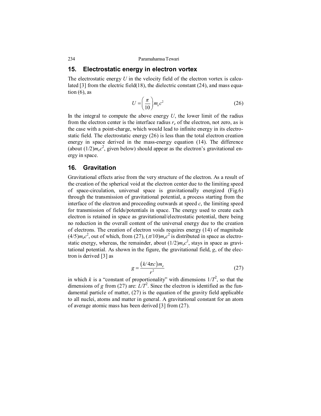## **15. Electrostatic energy in electron vortex**

The electrostatic energy *U* in the velocity field of the electron vortex is calculated [3] from the electric field(18), the dielectric constant (24), and mass equation  $(6)$ , as

$$
U = \left(\frac{\pi}{10}\right) m_e c^2 \tag{26}
$$

In the integral to compute the above energy  $U$ , the lower limit of the radius from the electron center is the interface radius  $r_e$  of the electron, not zero, as is the case with a point-charge, which would lead to infinite energy in its electrostatic field. The electrostatic energy (26) is less than the total electron creation energy in space derived in the mass-energy equation (14). The difference (about  $(1/2)m_ec^2$ , given below) should appear as the electron's gravitational energy in space.

#### **16. Gravitation**

Gravitational effects arise from the very structure of the electron. As a result of the creation of the spherical void at the electron center due to the limiting speed of space-circulation, universal space is gravitationally energized (Fig.6) through the transmission of gravitational potential, a process starting from the interface of the electron and proceeding outwards at speed *c*, the limiting speed for transmission of fields/potentials in space. The energy used to create each electron is retained in space as gravitational/electrostatic potential, there being no reduction in the overall content of the universal energy due to the creation of electrons. The creation of electron voids requires energy (14) of magnitude  $(4/5)m_ec^2$ , out of which, from (27),  $(\pi/10)m_ec^2$  is distributed in space as electrostatic energy, whereas, the remainder, about  $(1/2)m_ec^2$ , stays in space as gravitational potential. As shown in the figure, the gravitational field, *g*, of the electron is derived [3] as

$$
g = \frac{\left(k/4\pi c\right)m_e}{r^2} \tag{27}
$$

in which *k* is a "constant of proportionality" with dimensions  $1/T^2$ , so that the dimensions of *g* from (27) are:  $L/T^2$ . Since the electron is identified as the fundamental particle of matter, (27) is the equation of the gravity field applicable to all nuclei, atoms and matter in general. A gravitational constant for an atom of average atomic mass has been derived [3] from (27).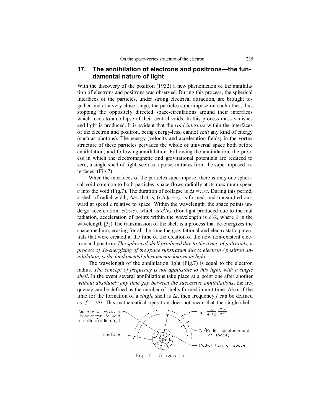## **17. The annihilation of electrons and positrons—the fundamental nature of light**

With the discovery of the positron (1932) a new phenomenon of the annihilation of electrons and positrons was observed. During this process, the spherical interfaces of the particles, under strong electrical attraction, are brought together and at a very close range, the particles superimpose on each other; thus stopping the oppositely directed space-circulations around their interfaces which leads to a collapse of their central voids. In this process mass vanishes and light is produced. It is evident that the *void interiors* within the interfaces of the electron and positron, being energy-less, cannot *emit* any kind of energy (such as photons). The energy (velocity and acceleration fields) in the vortex structure of these particles pervades the whole of universal space both before annihilation; and following annihilation. Following the annihilation, the process in which the electromagnetic and gravitational potentials are reduced to zero, a single shell of light, seen as a pulse, initiates from the superimposed interfaces. (Fig.7).

When the interfaces of the particles superimpose, there is only one spherical-void common to both particles; space flows radially at its maximum speed *c* into the void (Fig.7). The duration of collapse is  $\Delta t = r_e/c$ . During this period, a shell of radial width,  $\Delta t c$ , that is,  $(r_e/c)c = r_e$ , is formed, and transmitted outward at speed *c* relative to space. Within the wavelength, the space points undergo acceleration:  $c/(r_e/c)$ , which is  $c^2/r_e$ . (For light produced due to thermal radiation, acceleration of points within the wavelength is  $c^2/\lambda$ , where  $\lambda$  is the wavelength [3]) The transmission of the shell is a process that de-energizes the space medium, erasing for all the time the gravitational and electrostatic potentials that were created at the time of the creation of the now non-existent electron and positron. *The spherical shell produced due to the dying of potentials, a process of de-energizing of the space substratum due to electron / positron annihilation, is the fundamental phenomenon known as light.* 

The wavelength of the annihilation light (Fig.7) is equal to the electron radius. *The concept of frequency is not applicable to this light, with a single shell*. In the event several annihilations take place at a point one after another *without absolutely any time gap between the successive annihilations*, the frequency can be defined as the number of shells formed in unit time. Also, if the time for the formation of a *single* shell is ∆*t*, then frequency *f* can be defined as:  $f = 1/\Delta t$ . This mathematical operation does not mean that the single-shell-

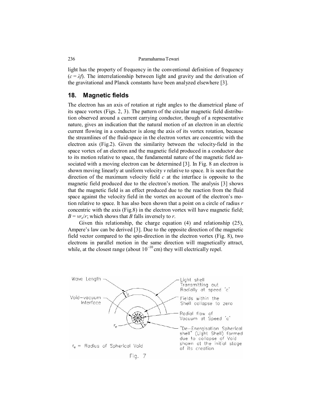light has the property of frequency in the conventional definition of frequency  $(c = \lambda f)$ . The interrelationship between light and gravity and the derivation of the gravitational and Planck constants have been analyzed elsewhere [3].

## **18. Magnetic fields**

The electron has an axis of rotation at right angles to the diametrical plane of its space vortex (Figs. 2, 3). The pattern of the circular magnetic field distribution observed around a current carrying conductor, though of a representative nature, gives an indication that the natural motion of an electron in an electric current flowing in a conductor is along the axis of its vortex rotation, because the streamlines of the fluid-space in the electron vortex are concentric with the electron axis (Fig.2). Given the similarity between the velocity-field in the space vortex of an electron and the magnetic field produced in a conductor due to its motion relative to space, the fundamental nature of the magnetic field associated with a moving electron can be determined [3]. In Fig. 8 an electron is shown moving linearly at uniform velocity *v* relative to space. It is seen that the direction of the maximum velocity field *c* at the interface is opposite to the magnetic field produced due to the electron's motion. The analysis [3] shows that the magnetic field is an effect produced due to the reaction from the fluid space against the velocity field in the vortex on account of the electron's motion relative to space. It has also been shown that a point on a circle of radius *r* concentric with the axis (Fig.8) in the electron vortex will have magnetic field;  $B = vr_e/r$ ; which shows that *B* falls inversely to *r*.

Given this relationship, the charge equation (4) and relationship (25), Ampere's law can be derived [3]. Due to the opposite direction of the magnetic field vector compared to the spin-direction in the electron vortex (Fig. 8), two electrons in parallel motion in the same direction will magnetically attract, while, at the closest range (about  $10^{-10}$  cm) they will electrically repel.

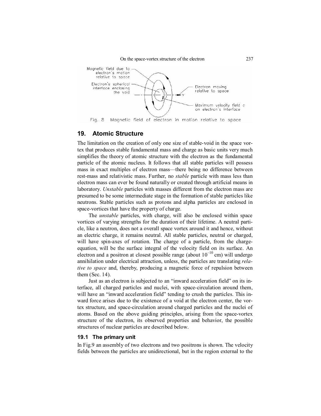

Fig. 8 Magnetic field of electron in motion relative to space

#### **19. Atomic Structure**

The limitation on the creation of only one size of stable-void in the space vortex that produces stable fundamental mass and charge as basic units very much simplifies the theory of atomic structure with the electron as the fundamental particle of the atomic nucleus. It follows that all stable particles will possess mass in exact multiples of electron mass—there being no difference between rest-mass and relativistic mass. Further, no *stable* particle with mass less than electron mass can ever be found naturally or created through artificial means in laboratory. *Unstable* particles with masses different from the electron mass are presumed to be some intermediate stage in the formation of stable particles like neutrons. Stable particles such as protons and alpha particles are enclosed in space-vortices that have the property of charge.

The *unstable* particles, with charge, will also be enclosed within space vortices of varying strengths for the duration of their lifetime. A neutral particle, like a neutron, does not a overall space vortex around it and hence, without an electric charge, it remains neutral. All stable particles, neutral or charged, will have spin-axes of rotation. The charge of a particle, from the chargeequation, will be the surface integral of the velocity field on its surface. An electron and a positron at closest possible range (about  $10^{-10}$  cm) will undergo annihilation under electrical attraction, unless, the particles are translating *relative to space* and, thereby, producing a magnetic force of repulsion between them (Sec. 14).

Just as an electron is subjected to an "inward acceleration field" on its interface, all charged particles and nuclei, with space-circulation around them, will have an "inward acceleration field" tending to crush the particles. This inward force arises due to the existence of a void at the electron center, the vortex structure, and space-circulation around charged particles and the nuclei of atoms. Based on the above guiding principles, arising from the space-vortex structure of the electron, its observed properties and behavior, the possible structures of nuclear particles are described below.

#### **19.1 The primary unit**

In Fig.9 an assembly of two electrons and two positrons is shown. The velocity fields between the particles are unidirectional, but in the region external to the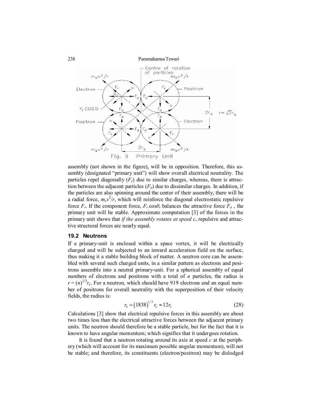

assembly (not shown in the figure), will be in opposition. Therefore, this assembly (designated "primary unit") will show overall electrical neutrality. The particles repel diagonally  $(F_r)$  due to similar charges, whereas, there is attraction between the adjacent particles  $(F_a)$  due to dissimilar charges. In addition, if the particles are also spinning around the center of their assembly, there will be a radial force,  $m_e v^2/r$ , which will reinforce the diagonal electrostatic repulsive force  $F_r$ . If the component force,  $F_r \cos\theta$ , balances the attractive force  $F_a$ , the primary unit will be stable. Approximate computation [3] of the forces in the primary unit shows that *if the assembly rotates at speed c*, repulsive and attractive structural forces are nearly equal.

#### **19.2 Neutrons**

If a primary-unit is enclosed within a space vortex, it will be electrically charged and will be subjected to an inward acceleration field on the surface, thus making it a stable building block of matter. A neutron core can be assembled with several such charged units, in a similar pattern as electrons and positrons assemble into a neutral primary-unit. For a spherical assembly of equal numbers of electrons and positrons with a total of *n* particles, the radius is  $r = (n)^{1/3}r_e$ . For a neutron, which should have 919 electrons and an equal number of positrons for overall neutrality with the superposition of their velocity fields, the radius is:

$$
r_n = (1838)^{1/3} r_e \approx 12r_e \tag{28}
$$

Calculations [3] show that electrical repulsive forces in this assembly are about two times less than the electrical attractive forces between the adjacent primary units. The neutron should therefore be a stable particle, but for the fact that it is known to have angular momentum; which signifies that it undergoes rotation.

It is found that a neutron rotating around its axis at speed *c* at the periphery (which will account for its maximum possible angular momentum), will not be stable; and therefore, its constituents (electron/positron) may be dislodged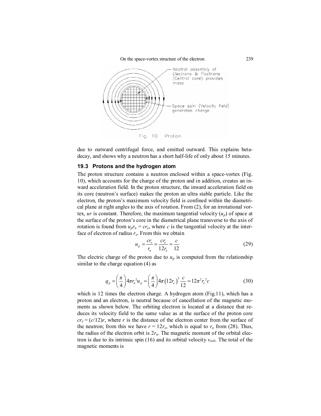#### On the space-vortex structure of the electron 239



due to outward centrifugal force, and emitted outward. This explains betadecay, and shows why a neutron has a short half-life of only about 15 minutes.

#### **19.3 Protons and the hydrogen atom**

The proton structure contains a neutron enclosed within a space-vortex (Fig. 10), which accounts for the charge of the proton and in addition, creates an inward acceleration field. In the proton structure, the inward acceleration field on its core (neutron's surface) makes the proton an ultra stable particle. Like the electron, the proton's maximum velocity field is confined within the diametrical plane at right angles to the axis of rotation. From (2), for an irrotational vortex, *ur* is constant. Therefore, the maximum tangential velocity  $(u_n)$  of space at the surface of the proton's core in the diametrical plane transverse to the axis of rotation is found from  $u_p r_n = c r_e$ , where *c* is the tangential velocity at the interface of electron of radius *re*. From this we obtain

$$
u_p = \frac{cr_e}{r_n} = \frac{cr_e}{12r_e} = \frac{c}{12}
$$
 (29)

The electric charge of the proton due to  $u_p$  is computed from the relationship similar to the charge equation (4) as

$$
q_p = \left(\frac{\pi}{4}\right) 4\pi r_n^2 u_p = \left(\frac{\pi}{4}\right) 4\pi \left(12r_e\right)^2 \frac{c}{12} = 12\pi^2 r_e^2 c \tag{30}
$$

which is 12 times the electron charge. A hydrogen atom (Fig.11), which has a proton and an electron, is neutral because of cancellation of the magnetic moments as shown below. The orbiting electron is located at a distance that reduces its velocity field to the same value as at the surface of the proton core  $cr_e = (c/12)r$ , where *r* is the distance of the electron center from the surface of the neutron; from this we have  $r = 12r_e$ , which is equal to  $r_n$  from (28). Thus, the radius of the electron orbit is  $2r_n$ . The magnetic moment of the orbital electron is due to its intrinsic spin (16) and its orbital velocity  $v_{orb}$ . The total of the magnetic moments is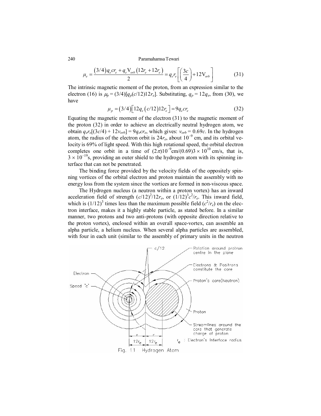$$
\mu_e = \frac{(3/4)q_e c r_e + q_e V_{orb} (12r_e + 12r_e)}{2} = q_e r_e \left[ \left( \frac{3c}{4} \right) + 12V_{orb} \right]
$$
(31)

The intrinsic magnetic moment of the proton, from an expression similar to the electron (16) is  $\mu_p = (3/4)[q_p(c/12)12r_e]$ . Substituting,  $q_p = 12q_e$ , from (30), we have

$$
\mu_p = (3/4) \left[ 12 q_e \left( c/12 \right) 12 r_e \right] = 9 q_e c r_e \tag{32}
$$

Equating the magnetic moment of the electron (31) to the magnetic moment of the proton (32) in order to achieve an electrically neutral hydrogen atom, we obtain  $q_{e}r_{e}[(3c/4) + 12v_{orb}] = 9q_{e}cr_{e}$ , which gives:  $v_{orb} = 0.69c$ . In the hydrogen atom, the radius of the electron orbit is  $24r_e$ , about  $10^{-9}$  cm, and its orbital velocity is 69% of light speed. With this high rotational speed, the orbital electron completes one orbit in a time of  $(2\pi)10^{-9}$ cm/ $(0.69)3 \times 10^{10}$  cm/s, that is,  $3 \times 10^{-19}$ s, providing an outer shield to the hydrogen atom with its spinning interface that can not be penetrated.

The binding force provided by the velocity fields of the oppositely spinning vortices of the orbital electron and proton maintain the assembly with no energy loss from the system since the vortices are formed in non-viscous space.

The Hydrogen nucleus (a neutron within a proton vortex) has an inward acceleration field of strength  $(c/12)^2/12r_e$ , or  $(1/12)^3c^2/r_e$ . This inward field, which is  $(1/12)^3$  times less than the maximum possible field  $(c^2/r_e)$  on the electron interface, makes it a highly stable particle, as stated before. In a similar manner, two protons and two anti-protons (with opposite direction relative to the proton vortex), enclosed within an overall space-vortex, can assemble an alpha particle, a helium nucleus. When several alpha particles are assembled, with four in each unit (similar to the assembly of primary units in the neutron

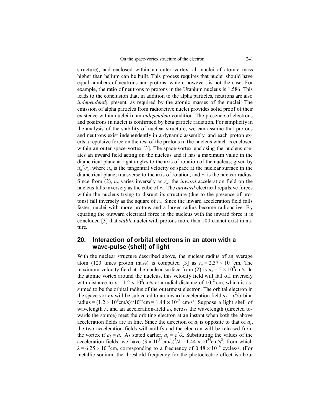structure), and enclosed within an outer vortex, all nuclei of atomic mass higher than helium can be built. This process requires that nuclei should have equal numbers of neutrons and protons, which, however, is not the case. For example, the ratio of neutrons to protons in the Uranium nucleus is 1.586. This leads to the conclusion that, in addition to the alpha particles, neutrons are also *independently* present, as required by the atomic masses of the nuclei. The emission of alpha particles from radioactive nuclei provides solid proof of their existence within nuclei in an *independent* condition. The presence of electrons and positrons in nuclei is confirmed by beta particle radiation. For simplicity in the analysis of the stability of nuclear structure, we can assume that protons and neutrons exist independently in a dynamic assembly, and each proton exerts a repulsive force on the rest of the protons in the nucleus which is enclosed within an outer space-vortex [3]. The space-vortex enclosing the nucleus creates an inward field acting on the nucleus and it has a maximum value in the diametrical plane at right angles to the axis of rotation of the nucleus; given by  $u_n^2/r_n$ , where  $u_n$  is the tangential velocity of space at the nuclear surface in the diametrical plane, transverse to the axis of rotation, and  $r_n$  is the nuclear radius. Since from (2),  $u_n$  varies inversely as  $r_n$ , the *inward* acceleration field on the nucleus falls inversely as the cube of *rn*. The *outward* electrical repulsive forces within the nucleus trying to disrupt its structure (due to the presence of protons) fall inversely as the square of  $r_n$ . Since the inward acceleration field falls faster, nuclei with more protons and a larger radius become radioactive. By equating the outward electrical force in the nucleus with the inward force it is concluded [3] that *stable* nuclei with protons more than 100 cannot exist in nature.

# **20. Interaction of orbital electrons in an atom with a wave-pulse (shell) of light**

With the nuclear structure described above, the nuclear radius of an average atom (120 times proton mass) is computed [3] as  $r_n = 2.37 \times 10^{-9}$ cm. The maximum velocity field at the nuclear surface from (2) is  $u_n = 5 \times 10^8$  cm/s. In the atomic vortex around the nucleus, this velocity field will fall off inversely with distance to  $v = 1.2 \times 10^8$  cm/s at a radial distance of  $10^{-8}$  cm, which is assumed to be the orbital radius of the outermost electron. The orbital electron in the space vortex will be subjected to an inward acceleration field  $a_f = v^2$ /orbital radius =  $(1.2 \times 10^8 \text{cm/s})^2 / 10^{-8} \text{cm} = 1.44 \times 10^{24} \text{cm/s}^2$ . Suppose a light shell of wavelength *λ*, and an acceleration-field *al*, across the wavelength (directed towards the source) meet the orbiting electron at an instant when both the above acceleration fields are in line. Since the direction of  $a_1$  is opposite to that of  $a_f$ , the two acceleration fields will nullify and the electron will be released from the vortex if  $a_l = a_f$ . As stated earlier,  $a_l = c^2/\lambda$ . Substituting the values of the acceleration fields, we have  $(3 \times 10^{10} \text{cm/s})^2/\lambda = 1.44 \times 10^{24} \text{cm/s}^2$ , from which  $\lambda$  = 6.25 × 10<sup>-4</sup>cm, corresponding to a frequency of 0.48 × 10<sup>14</sup> cycles/s. (For metallic sodium, the threshold frequency for the photoelectric effect is about